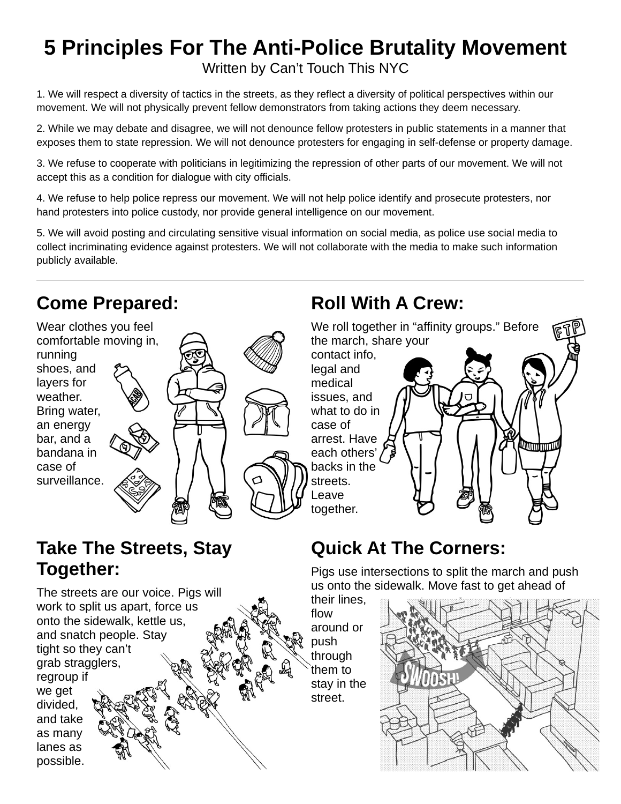## **5 Principles For The Anti-Police Brutality Movement** Written by Can't Touch This NYC

1. We will respect a diversity of tactics in the streets, as they reflect a diversity of political perspectives within our movement. We will not physically prevent fellow demonstrators from taking actions they deem necessary.

2. While we may debate and disagree, we will not denounce fellow protesters in public statements in a manner that exposes them to state repression. We will not denounce protesters for engaging in self-defense or property damage.

3. We refuse to cooperate with politicians in legitimizing the repression of other parts of our movement. We will not accept this as a condition for dialogue with city officials.

4. We refuse to help police repress our movement. We will not help police identify and prosecute protesters, nor hand protesters into police custody, nor provide general intelligence on our movement.

5. We will avoid posting and circulating sensitive visual information on social media, as police use social media to collect incriminating evidence against protesters. We will not collaborate with the media to make such information publicly available.

### **Come Prepared:**

Wear clothes you feel comfortable moving in, running shoes, and layers for weather. Bring water, an energy bar, and a bandana in case of surveillance.



## **Take The Streets, Stay Together:**

The streets are our voice. Pigs will work to split us apart, force us onto the sidewalk, kettle us, and snatch people. Stay tight so they can't grab stragglers, regroup if we get divided, and take as many lanes as possible.

## **Roll With A Crew:**



## **Quick At The Corners:**

Pigs use intersections to split the march and push us onto the sidewalk. Move fast to get ahead of

their lines, flow around or push through them to stay in the street.